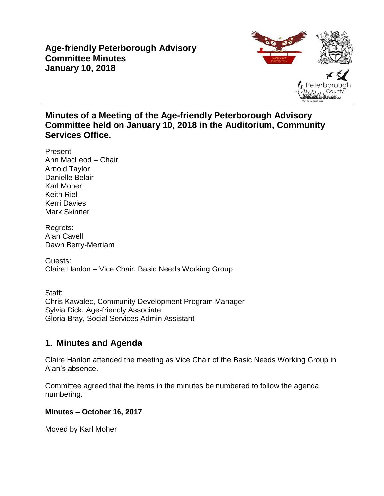## **Age-friendly Peterborough Advisory Committee Minutes January 10, 2018**



## **Minutes of a Meeting of the Age-friendly Peterborough Advisory Committee held on January 10, 2018 in the Auditorium, Community Services Office.**

Present: Ann MacLeod – Chair Arnold Taylor Danielle Belair Karl Moher Keith Riel Kerri Davies Mark Skinner

Regrets: Alan Cavell Dawn Berry-Merriam

Guests: Claire Hanlon – Vice Chair, Basic Needs Working Group

Staff: Chris Kawalec, Community Development Program Manager Sylvia Dick, Age-friendly Associate Gloria Bray, Social Services Admin Assistant

# **1. Minutes and Agenda**

Claire Hanlon attended the meeting as Vice Chair of the Basic Needs Working Group in Alan's absence.

Committee agreed that the items in the minutes be numbered to follow the agenda numbering.

### **Minutes – October 16, 2017**

Moved by Karl Moher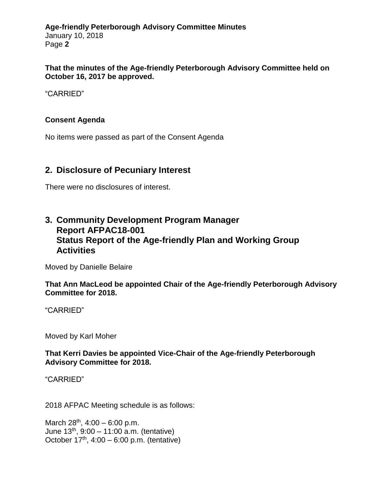**Age-friendly Peterborough Advisory Committee Minutes** January 10, 2018 Page **2**

**That the minutes of the Age-friendly Peterborough Advisory Committee held on October 16, 2017 be approved.**

"CARRIED"

#### **Consent Agenda**

No items were passed as part of the Consent Agenda

### **2. Disclosure of Pecuniary Interest**

There were no disclosures of interest.

## **3. Community Development Program Manager Report AFPAC18-001 Status Report of the Age-friendly Plan and Working Group Activities**

Moved by Danielle Belaire

**That Ann MacLeod be appointed Chair of the Age-friendly Peterborough Advisory Committee for 2018.**

"CARRIED"

Moved by Karl Moher

**That Kerri Davies be appointed Vice-Chair of the Age-friendly Peterborough Advisory Committee for 2018.**

"CARRIED"

2018 AFPAC Meeting schedule is as follows:

March  $28^{th}$ ,  $4:00 - 6:00$  p.m. June  $13^{th}$ ,  $9:00 - 11:00$  a.m. (tentative) October  $17<sup>th</sup>$ ,  $4:00 - 6:00$  p.m. (tentative)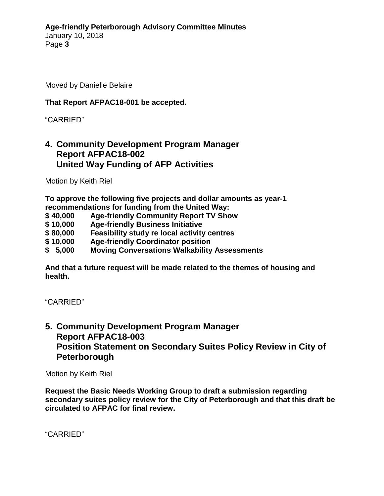Moved by Danielle Belaire

#### **That Report AFPAC18-001 be accepted.**

#### "CARRIED"

### **4. Community Development Program Manager Report AFPAC18-002 United Way Funding of AFP Activities**

Motion by Keith Riel

**To approve the following five projects and dollar amounts as year-1 recommendations for funding from the United Way:**

- **\$ 40,000 Age-friendly Community Report TV Show**
- **\$ 10,000 Age-friendly Business Initiative**
- **\$ 80,000 Feasibility study re local activity centres**
- **\$ 10,000 Age-friendly Coordinator position**
- **\$ 5,000 Moving Conversations Walkability Assessments**

**And that a future request will be made related to the themes of housing and health.**

"CARRIED"

## **5. Community Development Program Manager Report AFPAC18-003 Position Statement on Secondary Suites Policy Review in City of Peterborough**

Motion by Keith Riel

**Request the Basic Needs Working Group to draft a submission regarding secondary suites policy review for the City of Peterborough and that this draft be circulated to AFPAC for final review.**

"CARRIED"